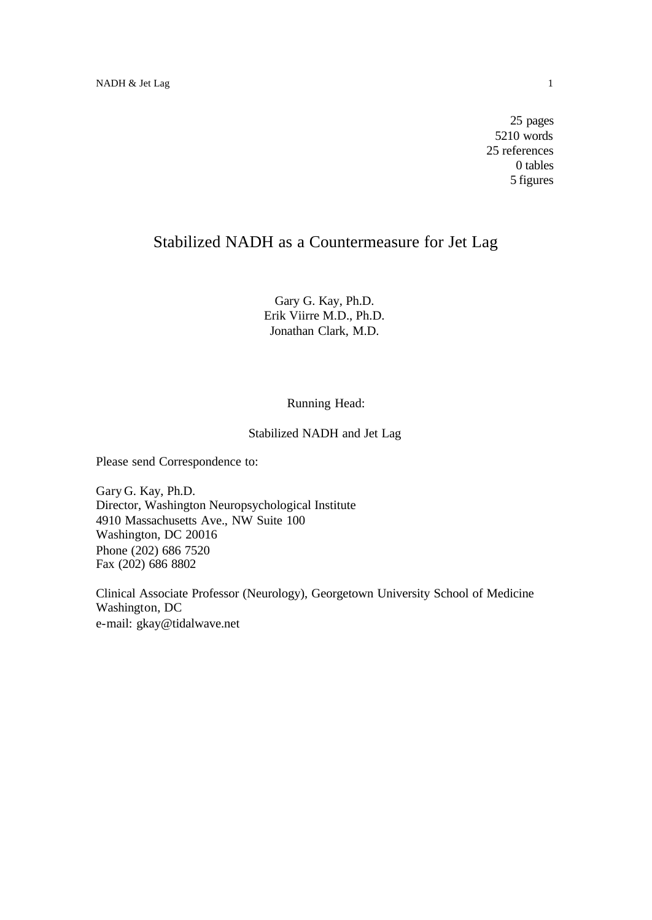25 pages 5210 words 25 references 0 tables 5 figures

# Stabilized NADH as a Countermeasure for Jet Lag

Gary G. Kay, Ph.D. Erik Viirre M.D., Ph.D. Jonathan Clark, M.D.

## Running Head:

## Stabilized NADH and Jet Lag

Please send Correspondence to:

Gary G. Kay, Ph.D. Director, Washington Neuropsychological Institute 4910 Massachusetts Ave., NW Suite 100 Washington, DC 20016 Phone (202) 686 7520 Fax (202) 686 8802

Clinical Associate Professor (Neurology), Georgetown University School of Medicine Washington, DC e-mail: gkay@tidalwave.net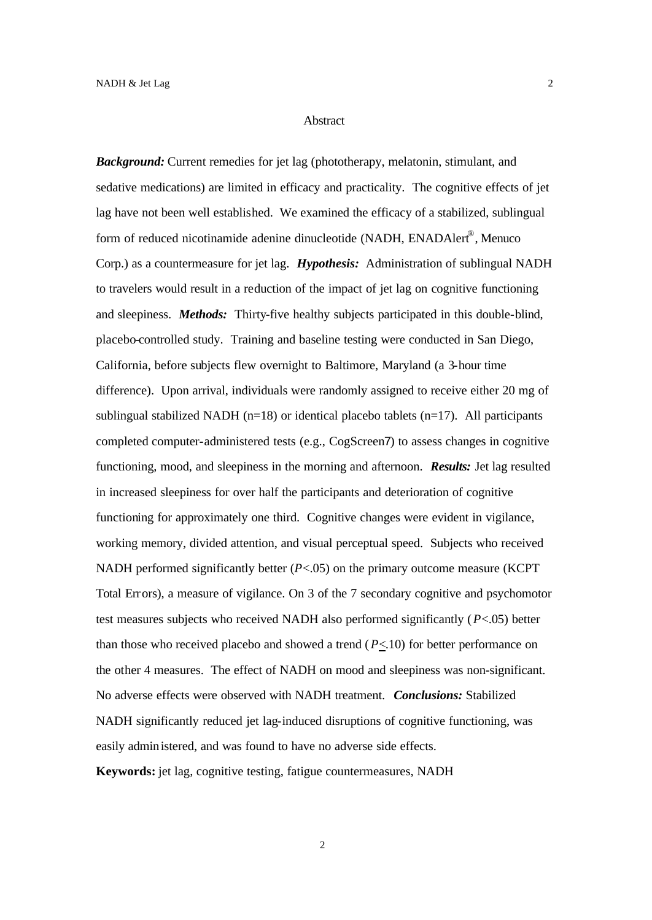#### **Abstract**

*Background:* Current remedies for jet lag (phototherapy, melatonin, stimulant, and sedative medications) are limited in efficacy and practicality. The cognitive effects of jet lag have not been well established. We examined the efficacy of a stabilized, sublingual form of reduced nicotinamide adenine dinucleotide (NADH, ENADAlert®, Menuco Corp.) as a countermeasure for jet lag. *Hypothesis:* Administration of sublingual NADH to travelers would result in a reduction of the impact of jet lag on cognitive functioning and sleepiness. *Methods:* Thirty-five healthy subjects participated in this double-blind, placebo-controlled study. Training and baseline testing were conducted in San Diego, California, before subjects flew overnight to Baltimore, Maryland (a 3-hour time difference). Upon arrival, individuals were randomly assigned to receive either 20 mg of sublingual stabilized NADH ( $n=18$ ) or identical placebo tablets ( $n=17$ ). All participants completed computer-administered tests (e.g., CogScreen7) to assess changes in cognitive functioning, mood, and sleepiness in the morning and afternoon. *Results:* Jet lag resulted in increased sleepiness for over half the participants and deterioration of cognitive functioning for approximately one third. Cognitive changes were evident in vigilance, working memory, divided attention, and visual perceptual speed. Subjects who received NADH performed significantly better (*P*<.05) on the primary outcome measure (KCPT Total Errors), a measure of vigilance. On 3 of the 7 secondary cognitive and psychomotor test measures subjects who received NADH also performed significantly (*P*<.05) better than those who received placebo and showed a trend  $(P \le 10)$  for better performance on the other 4 measures. The effect of NADH on mood and sleepiness was non-significant. No adverse effects were observed with NADH treatment. *Conclusions:* Stabilized NADH significantly reduced jet lag-induced disruptions of cognitive functioning, was easily administered, and was found to have no adverse side effects. **Keywords:** jet lag, cognitive testing, fatigue countermeasures, NADH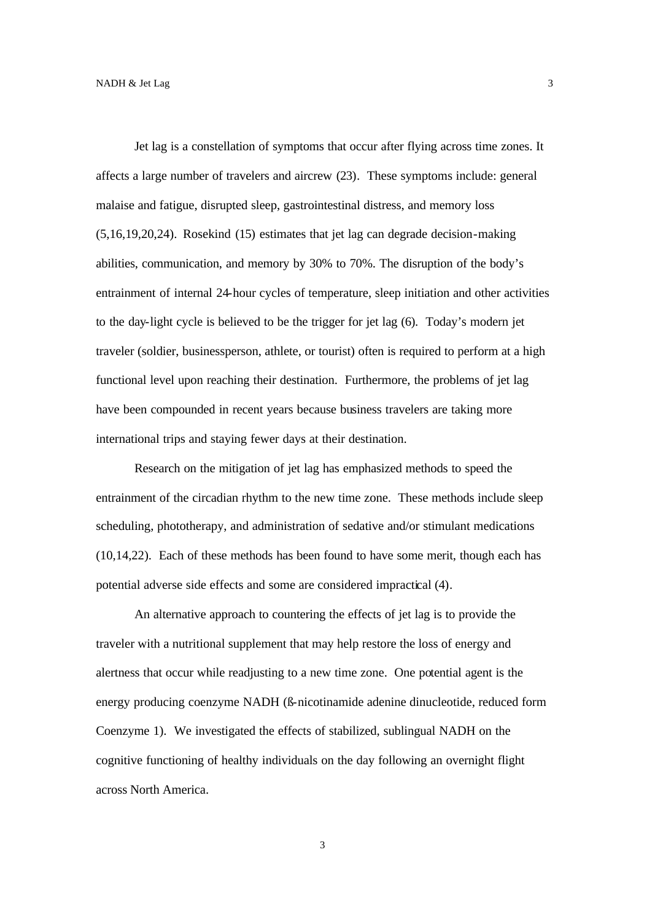Jet lag is a constellation of symptoms that occur after flying across time zones. It affects a large number of travelers and aircrew (23). These symptoms include: general malaise and fatigue, disrupted sleep, gastrointestinal distress, and memory loss (5,16,19,20,24). Rosekind (15) estimates that jet lag can degrade decision-making abilities, communication, and memory by 30% to 70%. The disruption of the body's entrainment of internal 24-hour cycles of temperature, sleep initiation and other activities to the day-light cycle is believed to be the trigger for jet lag (6). Today's modern jet traveler (soldier, businessperson, athlete, or tourist) often is required to perform at a high functional level upon reaching their destination. Furthermore, the problems of jet lag have been compounded in recent years because business travelers are taking more international trips and staying fewer days at their destination.

Research on the mitigation of jet lag has emphasized methods to speed the entrainment of the circadian rhythm to the new time zone. These methods include sleep scheduling, phototherapy, and administration of sedative and/or stimulant medications (10,14,22). Each of these methods has been found to have some merit, though each has potential adverse side effects and some are considered impractical (4).

An alternative approach to countering the effects of jet lag is to provide the traveler with a nutritional supplement that may help restore the loss of energy and alertness that occur while readjusting to a new time zone. One potential agent is the energy producing coenzyme NADH (ß-nicotinamide adenine dinucleotide, reduced form Coenzyme 1). We investigated the effects of stabilized, sublingual NADH on the cognitive functioning of healthy individuals on the day following an overnight flight across North America.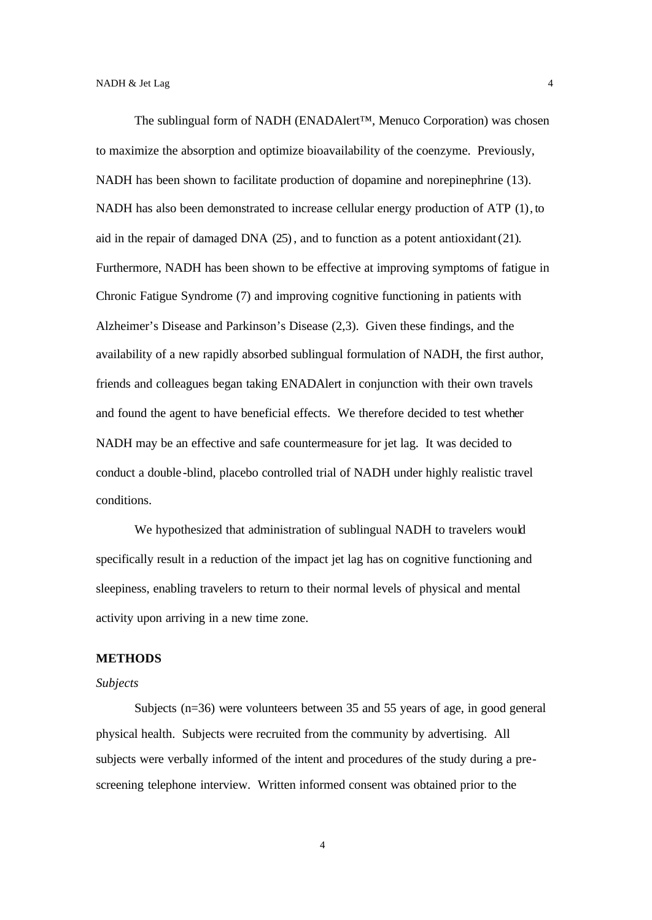The sublingual form of NADH (ENADAlert™, Menuco Corporation) was chosen to maximize the absorption and optimize bioavailability of the coenzyme. Previously, NADH has been shown to facilitate production of dopamine and norepinephrine (13). NADH has also been demonstrated to increase cellular energy production of ATP (1), to aid in the repair of damaged DNA (25), and to function as a potent antioxidant(21). Furthermore, NADH has been shown to be effective at improving symptoms of fatigue in Chronic Fatigue Syndrome (7) and improving cognitive functioning in patients with Alzheimer's Disease and Parkinson's Disease (2,3). Given these findings, and the availability of a new rapidly absorbed sublingual formulation of NADH, the first author, friends and colleagues began taking ENADAlert in conjunction with their own travels and found the agent to have beneficial effects. We therefore decided to test whether NADH may be an effective and safe countermeasure for jet lag. It was decided to conduct a double -blind, placebo controlled trial of NADH under highly realistic travel conditions.

We hypothesized that administration of sublingual NADH to travelers would specifically result in a reduction of the impact jet lag has on cognitive functioning and sleepiness, enabling travelers to return to their normal levels of physical and mental activity upon arriving in a new time zone.

## **METHODS**

#### *Subjects*

Subjects (n=36) were volunteers between 35 and 55 years of age, in good general physical health. Subjects were recruited from the community by advertising. All subjects were verbally informed of the intent and procedures of the study during a prescreening telephone interview. Written informed consent was obtained prior to the

4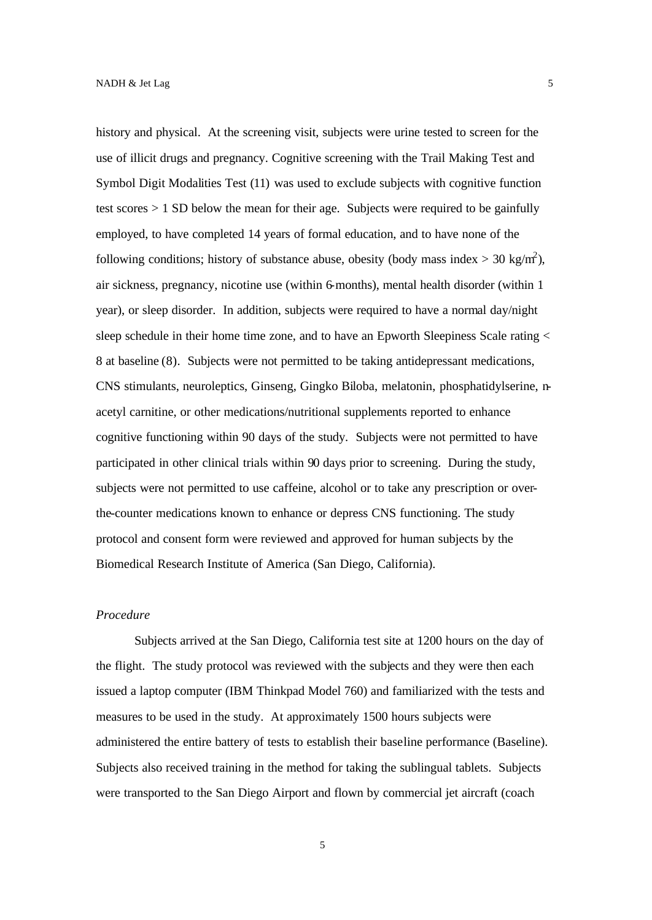history and physical. At the screening visit, subjects were urine tested to screen for the use of illicit drugs and pregnancy. Cognitive screening with the Trail Making Test and Symbol Digit Modalities Test (11) was used to exclude subjects with cognitive function test scores > 1 SD below the mean for their age. Subjects were required to be gainfully employed, to have completed 14 years of formal education, and to have none of the following conditions; history of substance abuse, obesity (body mass index  $>$  30 kg/m<sup>2</sup>), air sickness, pregnancy, nicotine use (within 6-months), mental health disorder (within 1 year), or sleep disorder. In addition, subjects were required to have a normal day/night sleep schedule in their home time zone, and to have an Epworth Sleepiness Scale rating < 8 at baseline (8). Subjects were not permitted to be taking antidepressant medications, CNS stimulants, neuroleptics, Ginseng, Gingko Biloba, melatonin, phosphatidylserine, nacetyl carnitine, or other medications/nutritional supplements reported to enhance cognitive functioning within 90 days of the study. Subjects were not permitted to have participated in other clinical trials within 90 days prior to screening. During the study, subjects were not permitted to use caffeine, alcohol or to take any prescription or overthe-counter medications known to enhance or depress CNS functioning. The study protocol and consent form were reviewed and approved for human subjects by the Biomedical Research Institute of America (San Diego, California).

## *Procedure*

Subjects arrived at the San Diego, California test site at 1200 hours on the day of the flight. The study protocol was reviewed with the subjects and they were then each issued a laptop computer (IBM Thinkpad Model 760) and familiarized with the tests and measures to be used in the study. At approximately 1500 hours subjects were administered the entire battery of tests to establish their baseline performance (Baseline). Subjects also received training in the method for taking the sublingual tablets. Subjects were transported to the San Diego Airport and flown by commercial jet aircraft (coach

5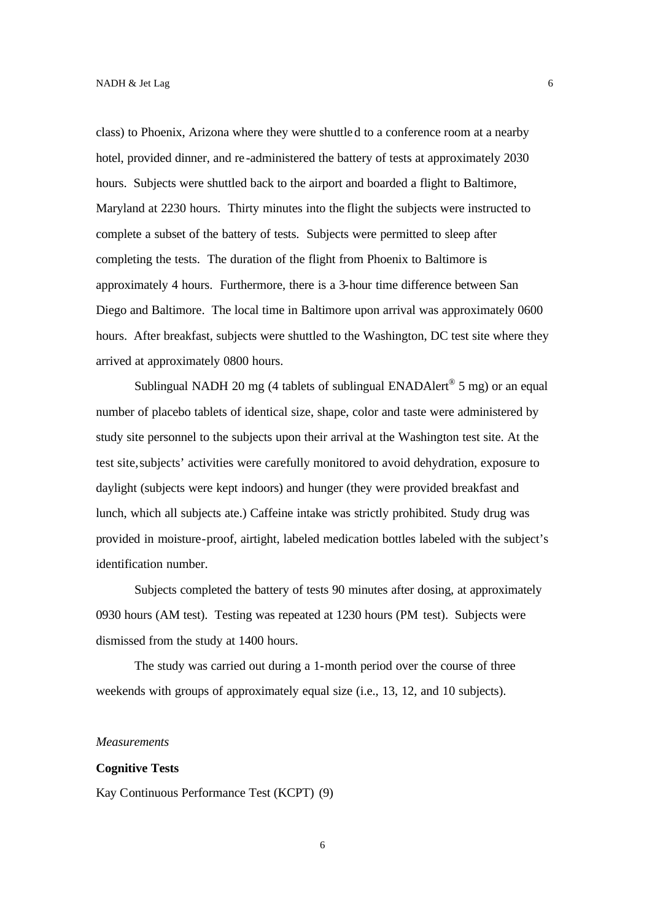class) to Phoenix, Arizona where they were shuttled to a conference room at a nearby hotel, provided dinner, and re -administered the battery of tests at approximately 2030 hours. Subjects were shuttled back to the airport and boarded a flight to Baltimore, Maryland at 2230 hours. Thirty minutes into the flight the subjects were instructed to complete a subset of the battery of tests. Subjects were permitted to sleep after completing the tests. The duration of the flight from Phoenix to Baltimore is approximately 4 hours. Furthermore, there is a 3-hour time difference between San Diego and Baltimore. The local time in Baltimore upon arrival was approximately 0600 hours. After breakfast, subjects were shuttled to the Washington, DC test site where they arrived at approximately 0800 hours.

Sublingual NADH 20 mg (4 tablets of sublingual ENADAlert<sup>®</sup> 5 mg) or an equal number of placebo tablets of identical size, shape, color and taste were administered by study site personnel to the subjects upon their arrival at the Washington test site. At the test site, subjects' activities were carefully monitored to avoid dehydration, exposure to daylight (subjects were kept indoors) and hunger (they were provided breakfast and lunch, which all subjects ate.) Caffeine intake was strictly prohibited. Study drug was provided in moisture-proof, airtight, labeled medication bottles labeled with the subject's identification number.

Subjects completed the battery of tests 90 minutes after dosing, at approximately 0930 hours (AM test). Testing was repeated at 1230 hours (PM test). Subjects were dismissed from the study at 1400 hours.

The study was carried out during a 1-month period over the course of three weekends with groups of approximately equal size (i.e., 13, 12, and 10 subjects).

#### *Measurements*

### **Cognitive Tests**

Kay Continuous Performance Test (KCPT) (9)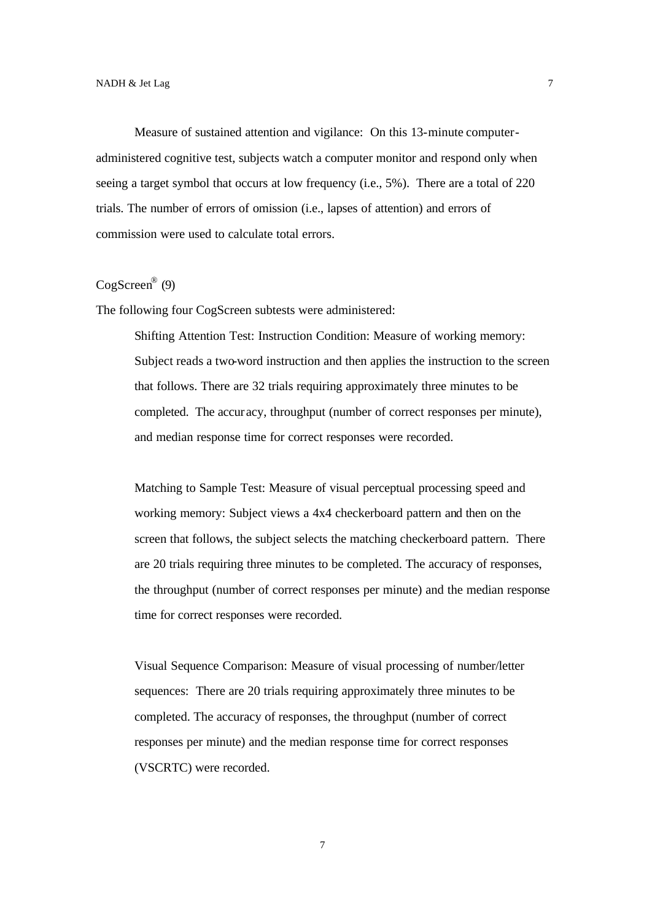Measure of sustained attention and vigilance: On this 13-minute computeradministered cognitive test, subjects watch a computer monitor and respond only when seeing a target symbol that occurs at low frequency (i.e., 5%). There are a total of 220 trials. The number of errors of omission (i.e., lapses of attention) and errors of commission were used to calculate total errors.

## CogScreen® (9)

The following four CogScreen subtests were administered:

Shifting Attention Test: Instruction Condition: Measure of working memory: Subject reads a two-word instruction and then applies the instruction to the screen that follows. There are 32 trials requiring approximately three minutes to be completed. The accur acy, throughput (number of correct responses per minute), and median response time for correct responses were recorded.

Matching to Sample Test: Measure of visual perceptual processing speed and working memory: Subject views a 4x4 checkerboard pattern and then on the screen that follows, the subject selects the matching checkerboard pattern. There are 20 trials requiring three minutes to be completed. The accuracy of responses, the throughput (number of correct responses per minute) and the median response time for correct responses were recorded.

Visual Sequence Comparison: Measure of visual processing of number/letter sequences: There are 20 trials requiring approximately three minutes to be completed. The accuracy of responses, the throughput (number of correct responses per minute) and the median response time for correct responses (VSCRTC) were recorded.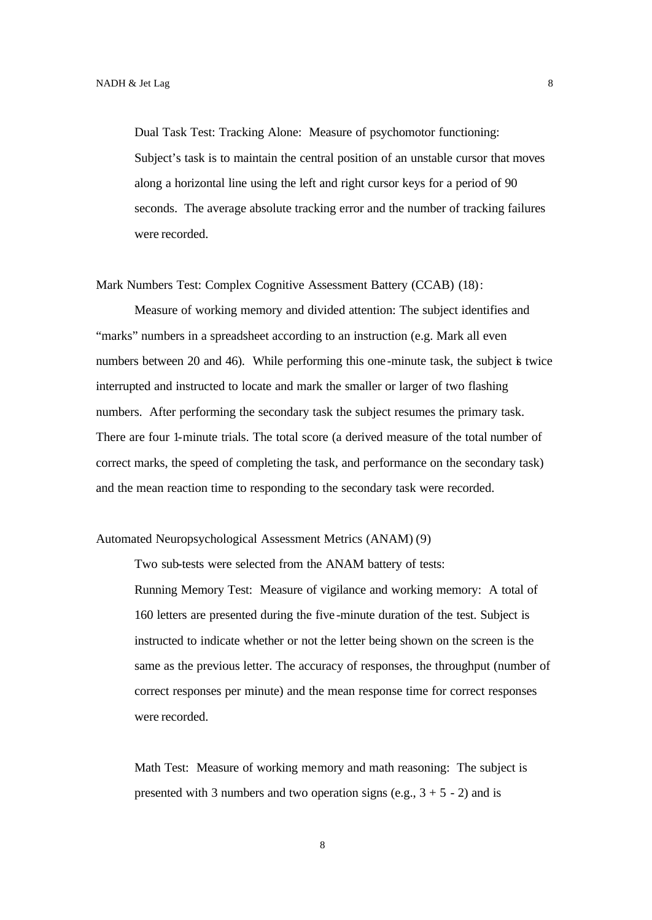Dual Task Test: Tracking Alone: Measure of psychomotor functioning: Subject's task is to maintain the central position of an unstable cursor that moves along a horizontal line using the left and right cursor keys for a period of 90 seconds. The average absolute tracking error and the number of tracking failures were recorded.

Mark Numbers Test: Complex Cognitive Assessment Battery (CCAB) (18):

Measure of working memory and divided attention: The subject identifies and "marks" numbers in a spreadsheet according to an instruction (e.g. Mark all even numbers between 20 and 46). While performing this one-minute task, the subject is twice interrupted and instructed to locate and mark the smaller or larger of two flashing numbers. After performing the secondary task the subject resumes the primary task. There are four 1-minute trials. The total score (a derived measure of the total number of correct marks, the speed of completing the task, and performance on the secondary task) and the mean reaction time to responding to the secondary task were recorded.

#### Automated Neuropsychological Assessment Metrics (ANAM) (9)

Two sub-tests were selected from the ANAM battery of tests: Running Memory Test: Measure of vigilance and working memory: A total of 160 letters are presented during the five -minute duration of the test. Subject is instructed to indicate whether or not the letter being shown on the screen is the same as the previous letter. The accuracy of responses, the throughput (number of correct responses per minute) and the mean response time for correct responses were recorded.

Math Test: Measure of working memory and math reasoning: The subject is presented with 3 numbers and two operation signs (e.g.,  $3 + 5 - 2$ ) and is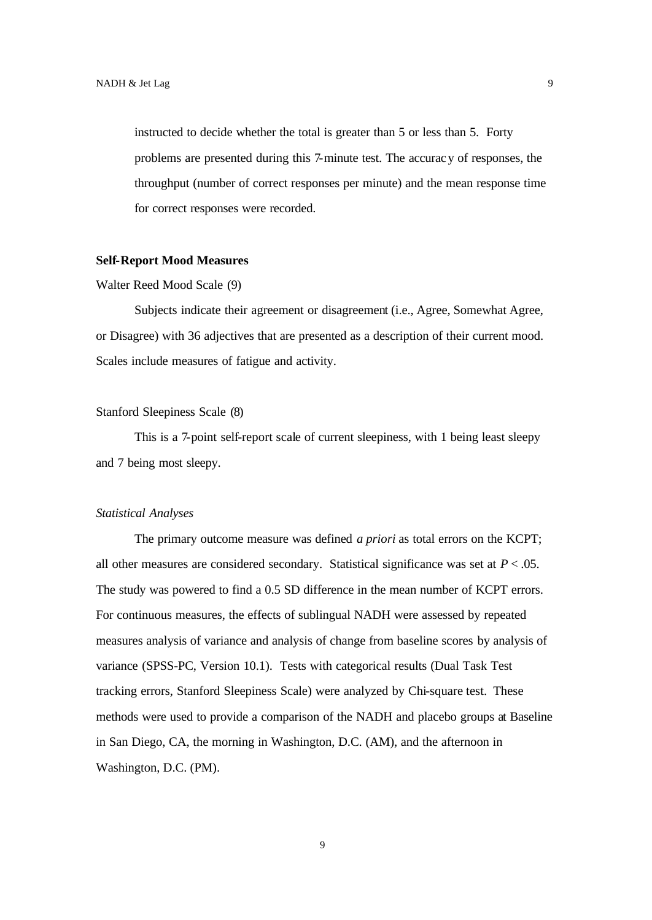instructed to decide whether the total is greater than 5 or less than 5. Forty problems are presented during this 7-minute test. The accuracy of responses, the throughput (number of correct responses per minute) and the mean response time for correct responses were recorded.

## **Self-Report Mood Measures**

#### Walter Reed Mood Scale (9)

Subjects indicate their agreement or disagreement (i.e., Agree, Somewhat Agree, or Disagree) with 36 adjectives that are presented as a description of their current mood. Scales include measures of fatigue and activity.

## Stanford Sleepiness Scale (8)

This is a 7-point self-report scale of current sleepiness, with 1 being least sleepy and 7 being most sleepy.

#### *Statistical Analyses*

The primary outcome measure was defined *a priori* as total errors on the KCPT; all other measures are considered secondary. Statistical significance was set at  $P < .05$ . The study was powered to find a 0.5 SD difference in the mean number of KCPT errors. For continuous measures, the effects of sublingual NADH were assessed by repeated measures analysis of variance and analysis of change from baseline scores by analysis of variance (SPSS-PC, Version 10.1). Tests with categorical results (Dual Task Test tracking errors, Stanford Sleepiness Scale) were analyzed by Chi-square test. These methods were used to provide a comparison of the NADH and placebo groups at Baseline in San Diego, CA, the morning in Washington, D.C. (AM), and the afternoon in Washington, D.C. (PM).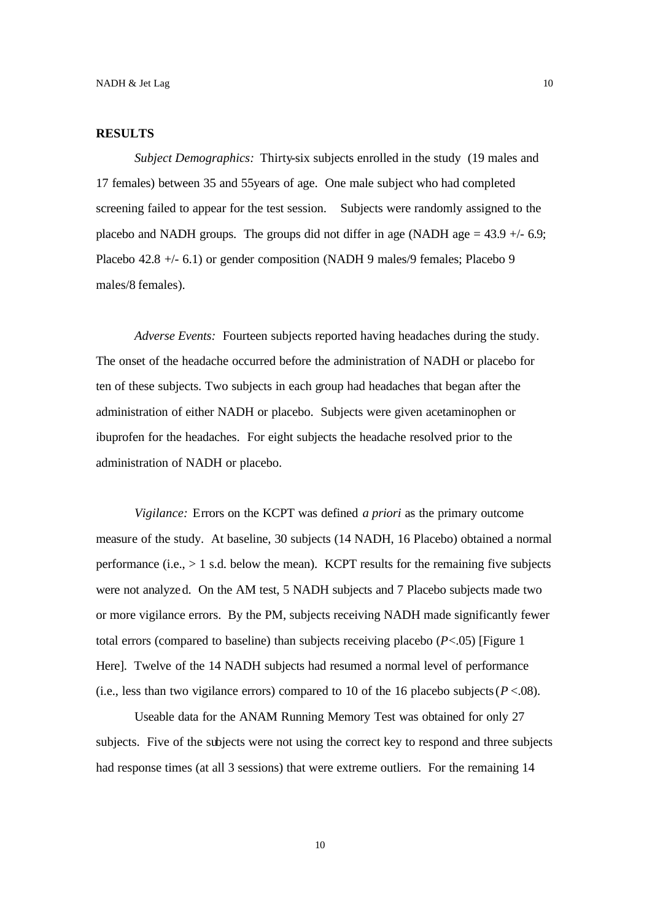## **RESULTS**

*Subject Demographics:* Thirty-six subjects enrolled in the study (19 males and 17 females) between 35 and 55years of age. One male subject who had completed screening failed to appear for the test session. Subjects were randomly assigned to the placebo and NADH groups. The groups did not differ in age (NADH age  $= 43.9 + (-6.9)$ ; Placebo 42.8 +/- 6.1) or gender composition (NADH 9 males/9 females; Placebo 9 males/8 females).

*Adverse Events:* Fourteen subjects reported having headaches during the study. The onset of the headache occurred before the administration of NADH or placebo for ten of these subjects. Two subjects in each group had headaches that began after the administration of either NADH or placebo. Subjects were given acetaminophen or ibuprofen for the headaches. For eight subjects the headache resolved prior to the administration of NADH or placebo.

*Vigilance:* Errors on the KCPT was defined *a priori* as the primary outcome measure of the study. At baseline, 30 subjects (14 NADH, 16 Placebo) obtained a normal performance  $(i.e., > 1 s.d.$  below the mean). KCPT results for the remaining five subjects were not analyzed. On the AM test, 5 NADH subjects and 7 Placebo subjects made two or more vigilance errors. By the PM, subjects receiving NADH made significantly fewer total errors (compared to baseline) than subjects receiving placebo (*P*<.05) [Figure 1 Here]. Twelve of the 14 NADH subjects had resumed a normal level of performance (i.e., less than two vigilance errors) compared to 10 of the 16 placebo subjects ( $P < 0.08$ ).

Useable data for the ANAM Running Memory Test was obtained for only 27 subjects. Five of the subjects were not using the correct key to respond and three subjects had response times (at all 3 sessions) that were extreme outliers. For the remaining 14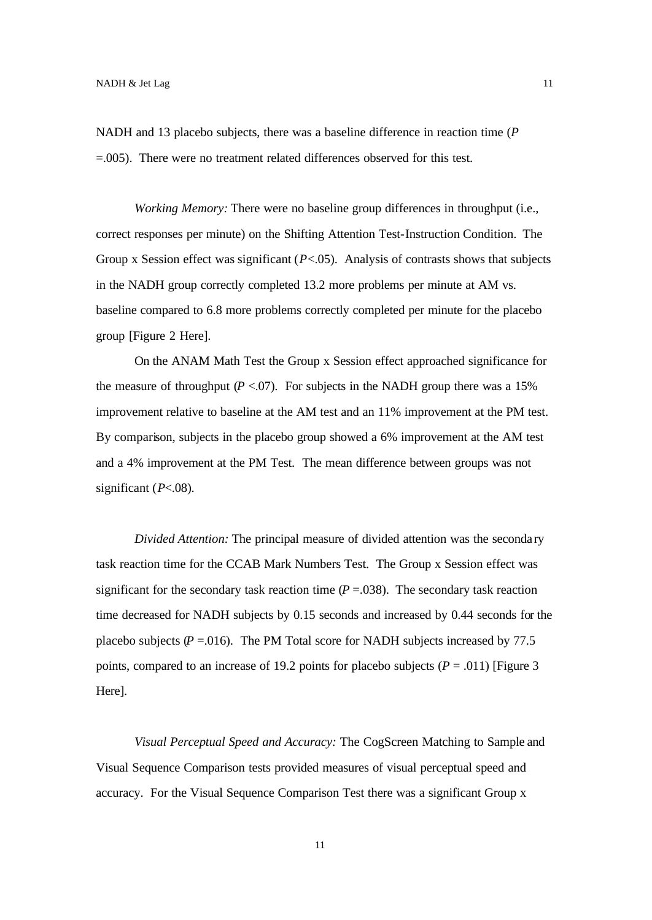NADH and 13 placebo subjects, there was a baseline difference in reaction time (*P* =.005). There were no treatment related differences observed for this test.

*Working Memory:* There were no baseline group differences in throughput (i.e., correct responses per minute) on the Shifting Attention Test-Instruction Condition. The Group x Session effect was significant (*P*<.05). Analysis of contrasts shows that subjects in the NADH group correctly completed 13.2 more problems per minute at AM vs. baseline compared to 6.8 more problems correctly completed per minute for the placebo group [Figure 2 Here].

On the ANAM Math Test the Group x Session effect approached significance for the measure of throughput  $(P < .07)$ . For subjects in the NADH group there was a 15% improvement relative to baseline at the AM test and an 11% improvement at the PM test. By comparison, subjects in the placebo group showed a 6% improvement at the AM test and a 4% improvement at the PM Test. The mean difference between groups was not significant (*P*<.08).

*Divided Attention:* The principal measure of divided attention was the seconda ry task reaction time for the CCAB Mark Numbers Test. The Group x Session effect was significant for the secondary task reaction time  $(P = .038)$ . The secondary task reaction time decreased for NADH subjects by 0.15 seconds and increased by 0.44 seconds for the placebo subjects  $(P = .016)$ . The PM Total score for NADH subjects increased by 77.5 points, compared to an increase of 19.2 points for placebo subjects  $(P = .011)$  [Figure 3] Here].

*Visual Perceptual Speed and Accuracy:* The CogScreen Matching to Sample and Visual Sequence Comparison tests provided measures of visual perceptual speed and accuracy. For the Visual Sequence Comparison Test there was a significant Group x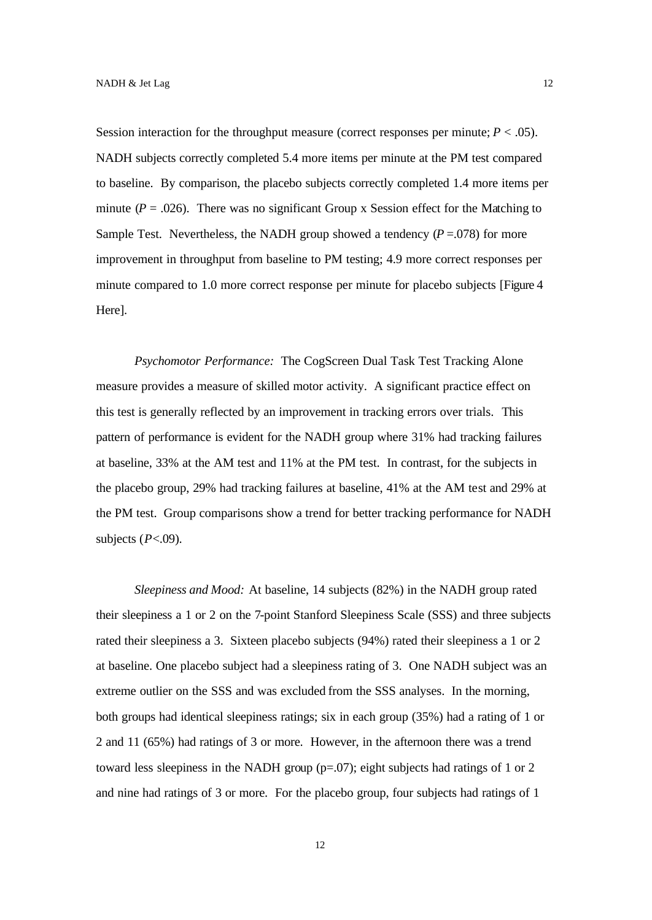Session interaction for the throughput measure (correct responses per minute;  $P < .05$ ). NADH subjects correctly completed 5.4 more items per minute at the PM test compared to baseline. By comparison, the placebo subjects correctly completed 1.4 more items per minute ( $P = 0.026$ ). There was no significant Group x Session effect for the Matching to Sample Test. Nevertheless, the NADH group showed a tendency  $(P = .078)$  for more improvement in throughput from baseline to PM testing; 4.9 more correct responses per minute compared to 1.0 more correct response per minute for placebo subjects [Figure 4 Here].

*Psychomotor Performance:* The CogScreen Dual Task Test Tracking Alone measure provides a measure of skilled motor activity. A significant practice effect on this test is generally reflected by an improvement in tracking errors over trials. This pattern of performance is evident for the NADH group where 31% had tracking failures at baseline, 33% at the AM test and 11% at the PM test. In contrast, for the subjects in the placebo group, 29% had tracking failures at baseline, 41% at the AM test and 29% at the PM test. Group comparisons show a trend for better tracking performance for NADH subjects (*P*<.09).

*Sleepiness and Mood:* At baseline, 14 subjects (82%) in the NADH group rated their sleepiness a 1 or 2 on the 7-point Stanford Sleepiness Scale (SSS) and three subjects rated their sleepiness a 3. Sixteen placebo subjects (94%) rated their sleepiness a 1 or 2 at baseline. One placebo subject had a sleepiness rating of 3. One NADH subject was an extreme outlier on the SSS and was excluded from the SSS analyses. In the morning, both groups had identical sleepiness ratings; six in each group (35%) had a rating of 1 or 2 and 11 (65%) had ratings of 3 or more. However, in the afternoon there was a trend toward less sleepiness in the NADH group (p=.07); eight subjects had ratings of 1 or 2 and nine had ratings of 3 or more. For the placebo group, four subjects had ratings of 1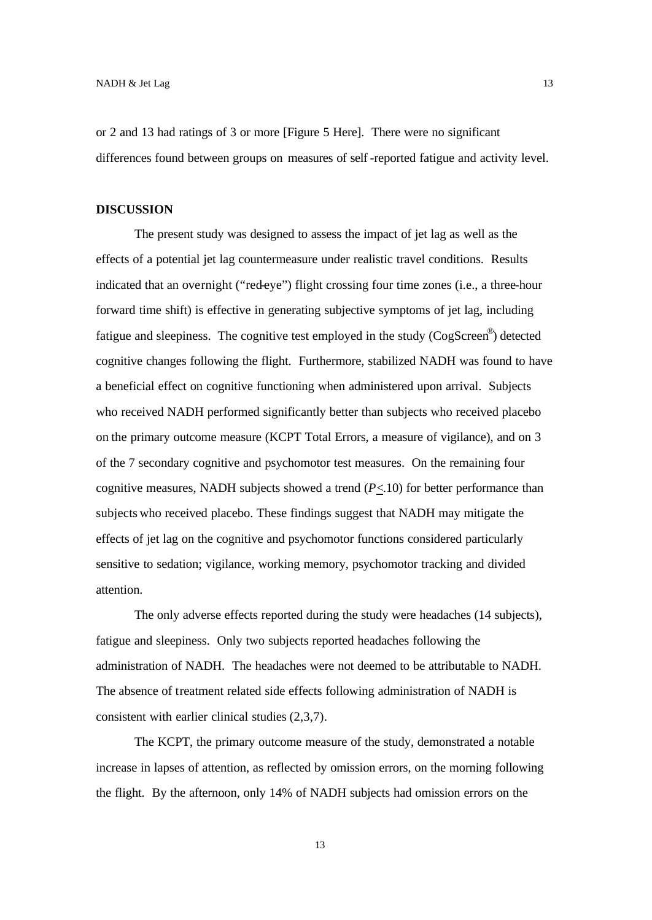or 2 and 13 had ratings of 3 or more [Figure 5 Here]. There were no significant differences found between groups on measures of self -reported fatigue and activity level.

## **DISCUSSION**

The present study was designed to assess the impact of jet lag as well as the effects of a potential jet lag countermeasure under realistic travel conditions. Results indicated that an overnight ("red-eye") flight crossing four time zones (i.e., a three-hour forward time shift) is effective in generating subjective symptoms of jet lag, including fatigue and sleepiness. The cognitive test employed in the study (CogScreen®) detected cognitive changes following the flight. Furthermore, stabilized NADH was found to have a beneficial effect on cognitive functioning when administered upon arrival. Subjects who received NADH performed significantly better than subjects who received placebo on the primary outcome measure (KCPT Total Errors, a measure of vigilance), and on 3 of the 7 secondary cognitive and psychomotor test measures. On the remaining four cognitive measures, NADH subjects showed a trend  $(P \le 10)$  for better performance than subjects who received placebo. These findings suggest that NADH may mitigate the effects of jet lag on the cognitive and psychomotor functions considered particularly sensitive to sedation; vigilance, working memory, psychomotor tracking and divided attention.

The only adverse effects reported during the study were headaches (14 subjects), fatigue and sleepiness. Only two subjects reported headaches following the administration of NADH. The headaches were not deemed to be attributable to NADH. The absence of treatment related side effects following administration of NADH is consistent with earlier clinical studies (2,3,7).

The KCPT, the primary outcome measure of the study, demonstrated a notable increase in lapses of attention, as reflected by omission errors, on the morning following the flight. By the afternoon, only 14% of NADH subjects had omission errors on the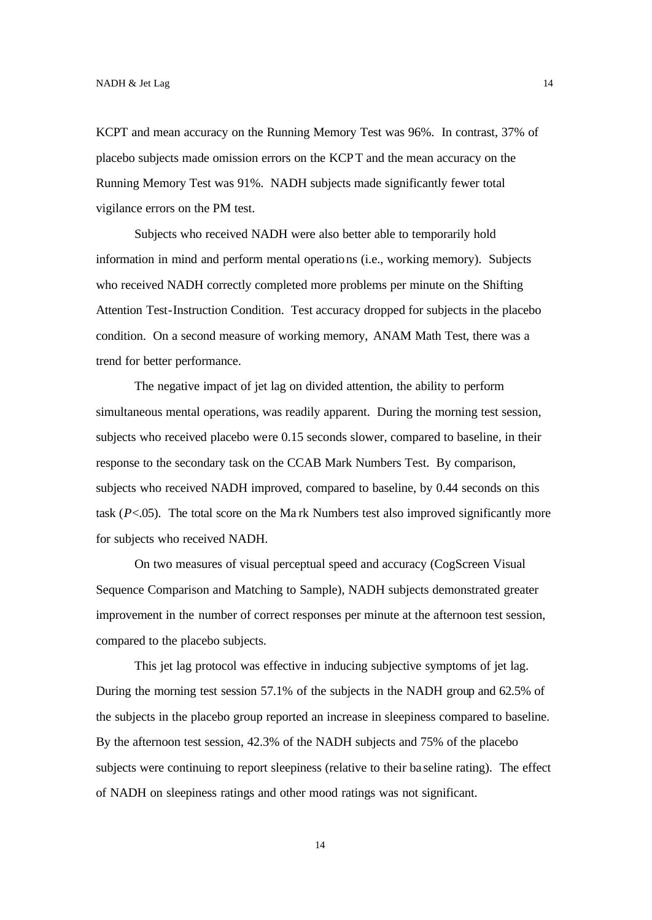KCPT and mean accuracy on the Running Memory Test was 96%. In contrast, 37% of placebo subjects made omission errors on the KCPT and the mean accuracy on the Running Memory Test was 91%. NADH subjects made significantly fewer total vigilance errors on the PM test.

Subjects who received NADH were also better able to temporarily hold information in mind and perform mental operations (i.e., working memory). Subjects who received NADH correctly completed more problems per minute on the Shifting Attention Test-Instruction Condition. Test accuracy dropped for subjects in the placebo condition. On a second measure of working memory, ANAM Math Test, there was a trend for better performance.

The negative impact of jet lag on divided attention, the ability to perform simultaneous mental operations, was readily apparent. During the morning test session, subjects who received placebo were 0.15 seconds slower, compared to baseline, in their response to the secondary task on the CCAB Mark Numbers Test. By comparison, subjects who received NADH improved, compared to baseline, by 0.44 seconds on this task (*P*<.05). The total score on the Ma rk Numbers test also improved significantly more for subjects who received NADH.

On two measures of visual perceptual speed and accuracy (CogScreen Visual Sequence Comparison and Matching to Sample), NADH subjects demonstrated greater improvement in the number of correct responses per minute at the afternoon test session, compared to the placebo subjects.

This jet lag protocol was effective in inducing subjective symptoms of jet lag. During the morning test session 57.1% of the subjects in the NADH group and 62.5% of the subjects in the placebo group reported an increase in sleepiness compared to baseline. By the afternoon test session, 42.3% of the NADH subjects and 75% of the placebo subjects were continuing to report sleepiness (relative to their ba seline rating). The effect of NADH on sleepiness ratings and other mood ratings was not significant.

14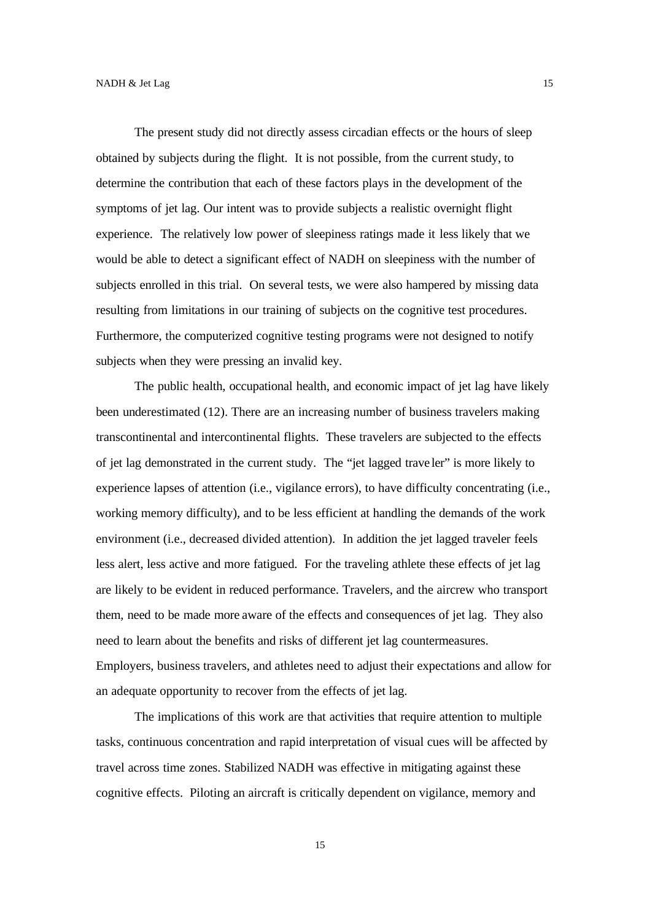The present study did not directly assess circadian effects or the hours of sleep obtained by subjects during the flight. It is not possible, from the current study, to determine the contribution that each of these factors plays in the development of the symptoms of jet lag. Our intent was to provide subjects a realistic overnight flight experience. The relatively low power of sleepiness ratings made it less likely that we would be able to detect a significant effect of NADH on sleepiness with the number of subjects enrolled in this trial. On several tests, we were also hampered by missing data resulting from limitations in our training of subjects on the cognitive test procedures. Furthermore, the computerized cognitive testing programs were not designed to notify subjects when they were pressing an invalid key.

The public health, occupational health, and economic impact of jet lag have likely been underestimated (12). There are an increasing number of business travelers making transcontinental and intercontinental flights. These travelers are subjected to the effects of jet lag demonstrated in the current study. The "jet lagged trave ler" is more likely to experience lapses of attention (i.e., vigilance errors), to have difficulty concentrating (i.e., working memory difficulty), and to be less efficient at handling the demands of the work environment (i.e., decreased divided attention). In addition the jet lagged traveler feels less alert, less active and more fatigued. For the traveling athlete these effects of jet lag are likely to be evident in reduced performance. Travelers, and the aircrew who transport them, need to be made more aware of the effects and consequences of jet lag. They also need to learn about the benefits and risks of different jet lag countermeasures. Employers, business travelers, and athletes need to adjust their expectations and allow for an adequate opportunity to recover from the effects of jet lag.

The implications of this work are that activities that require attention to multiple tasks, continuous concentration and rapid interpretation of visual cues will be affected by travel across time zones. Stabilized NADH was effective in mitigating against these cognitive effects. Piloting an aircraft is critically dependent on vigilance, memory and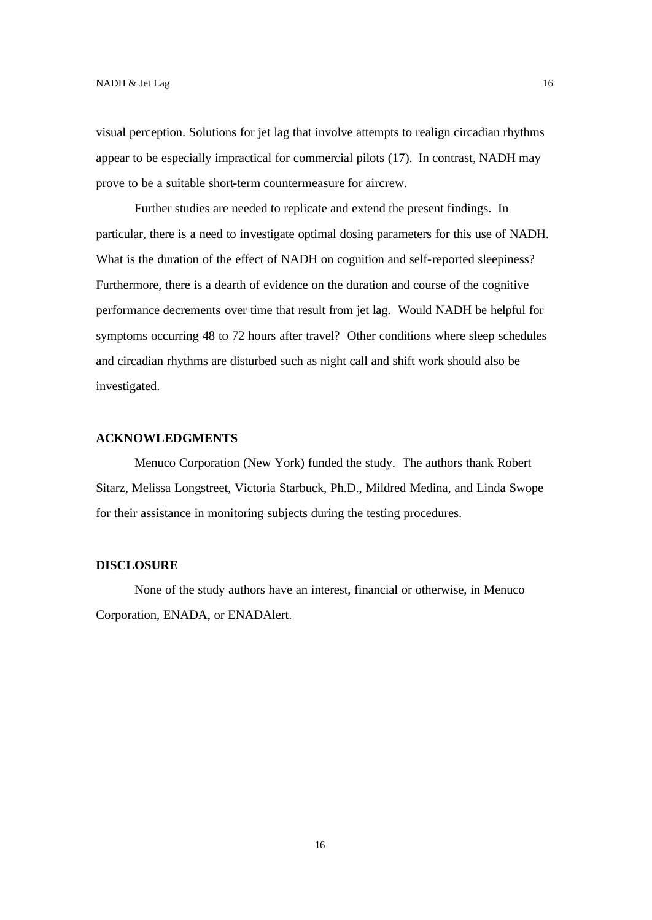visual perception. Solutions for jet lag that involve attempts to realign circadian rhythms appear to be especially impractical for commercial pilots (17). In contrast, NADH may prove to be a suitable short-term countermeasure for aircrew.

Further studies are needed to replicate and extend the present findings. In particular, there is a need to investigate optimal dosing parameters for this use of NADH. What is the duration of the effect of NADH on cognition and self-reported sleepiness? Furthermore, there is a dearth of evidence on the duration and course of the cognitive performance decrements over time that result from jet lag. Would NADH be helpful for symptoms occurring 48 to 72 hours after travel? Other conditions where sleep schedules and circadian rhythms are disturbed such as night call and shift work should also be investigated.

## **ACKNOWLEDGMENTS**

Menuco Corporation (New York) funded the study. The authors thank Robert Sitarz, Melissa Longstreet, Victoria Starbuck, Ph.D., Mildred Medina, and Linda Swope for their assistance in monitoring subjects during the testing procedures.

#### **DISCLOSURE**

None of the study authors have an interest, financial or otherwise, in Menuco Corporation, ENADA, or ENADAlert.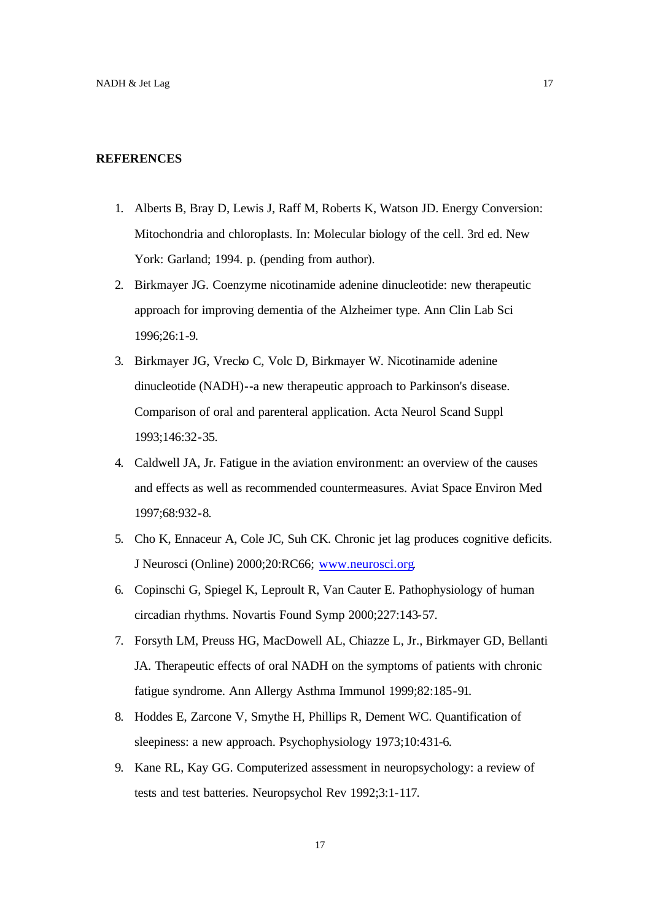### **REFERENCES**

- 1. Alberts B, Bray D, Lewis J, Raff M, Roberts K, Watson JD. Energy Conversion: Mitochondria and chloroplasts. In: Molecular biology of the cell. 3rd ed. New York: Garland; 1994. p. (pending from author).
- 2. Birkmayer JG. Coenzyme nicotinamide adenine dinucleotide: new therapeutic approach for improving dementia of the Alzheimer type. Ann Clin Lab Sci 1996;26:1-9.
- 3. Birkmayer JG, Vrecko C, Volc D, Birkmayer W. Nicotinamide adenine dinucleotide (NADH)--a new therapeutic approach to Parkinson's disease. Comparison of oral and parenteral application. Acta Neurol Scand Suppl 1993;146:32-35.
- 4. Caldwell JA, Jr. Fatigue in the aviation environment: an overview of the causes and effects as well as recommended countermeasures. Aviat Space Environ Med 1997;68:932-8.
- 5. Cho K, Ennaceur A, Cole JC, Suh CK. Chronic jet lag produces cognitive deficits. J Neurosci (Online) 2000;20:RC66; www.neurosci.org.
- 6. Copinschi G, Spiegel K, Leproult R, Van Cauter E. Pathophysiology of human circadian rhythms. Novartis Found Symp 2000;227:143-57.
- 7. Forsyth LM, Preuss HG, MacDowell AL, Chiazze L, Jr., Birkmayer GD, Bellanti JA. Therapeutic effects of oral NADH on the symptoms of patients with chronic fatigue syndrome. Ann Allergy Asthma Immunol 1999;82:185-91.
- 8. Hoddes E, Zarcone V, Smythe H, Phillips R, Dement WC. Quantification of sleepiness: a new approach. Psychophysiology 1973;10:431-6.
- 9. Kane RL, Kay GG. Computerized assessment in neuropsychology: a review of tests and test batteries. Neuropsychol Rev 1992;3:1-117.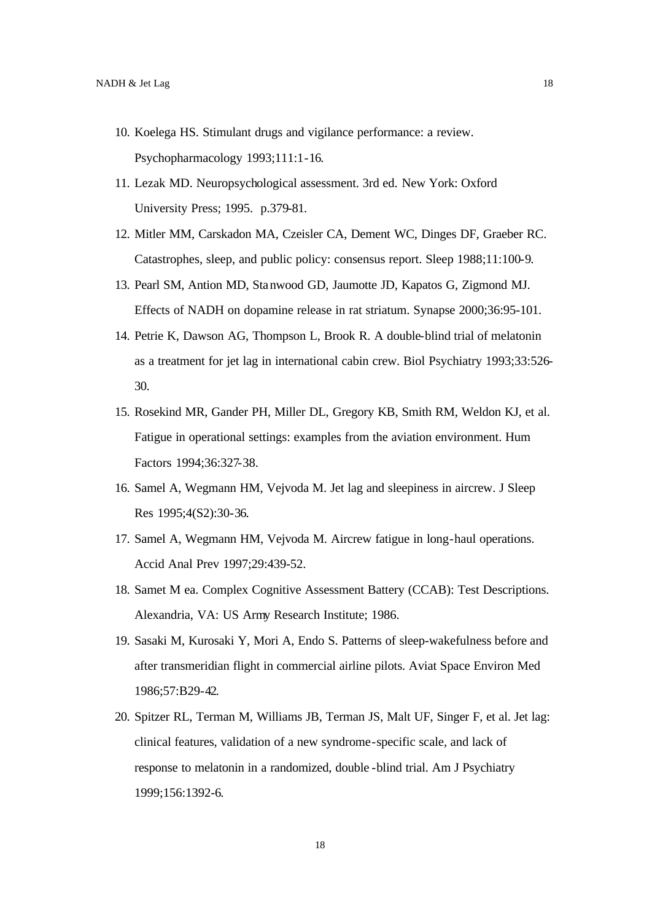- 10. Koelega HS. Stimulant drugs and vigilance performance: a review. Psychopharmacology 1993;111:1-16.
- 11. Lezak MD. Neuropsychological assessment. 3rd ed. New York: Oxford University Press; 1995. p.379-81.
- 12. Mitler MM, Carskadon MA, Czeisler CA, Dement WC, Dinges DF, Graeber RC. Catastrophes, sleep, and public policy: consensus report. Sleep 1988;11:100-9.
- 13. Pearl SM, Antion MD, Stanwood GD, Jaumotte JD, Kapatos G, Zigmond MJ. Effects of NADH on dopamine release in rat striatum. Synapse 2000;36:95-101.
- 14. Petrie K, Dawson AG, Thompson L, Brook R. A double-blind trial of melatonin as a treatment for jet lag in international cabin crew. Biol Psychiatry 1993;33:526- 30.
- 15. Rosekind MR, Gander PH, Miller DL, Gregory KB, Smith RM, Weldon KJ, et al. Fatigue in operational settings: examples from the aviation environment. Hum Factors 1994;36:327-38.
- 16. Samel A, Wegmann HM, Vejvoda M. Jet lag and sleepiness in aircrew. J Sleep Res 1995;4(S2):30-36.
- 17. Samel A, Wegmann HM, Vejvoda M. Aircrew fatigue in long-haul operations. Accid Anal Prev 1997;29:439-52.
- 18. Samet M ea. Complex Cognitive Assessment Battery (CCAB): Test Descriptions. Alexandria, VA: US Army Research Institute; 1986.
- 19. Sasaki M, Kurosaki Y, Mori A, Endo S. Patterns of sleep-wakefulness before and after transmeridian flight in commercial airline pilots. Aviat Space Environ Med 1986;57:B29-42.
- 20. Spitzer RL, Terman M, Williams JB, Terman JS, Malt UF, Singer F, et al. Jet lag: clinical features, validation of a new syndrome-specific scale, and lack of response to melatonin in a randomized, double -blind trial. Am J Psychiatry 1999;156:1392-6.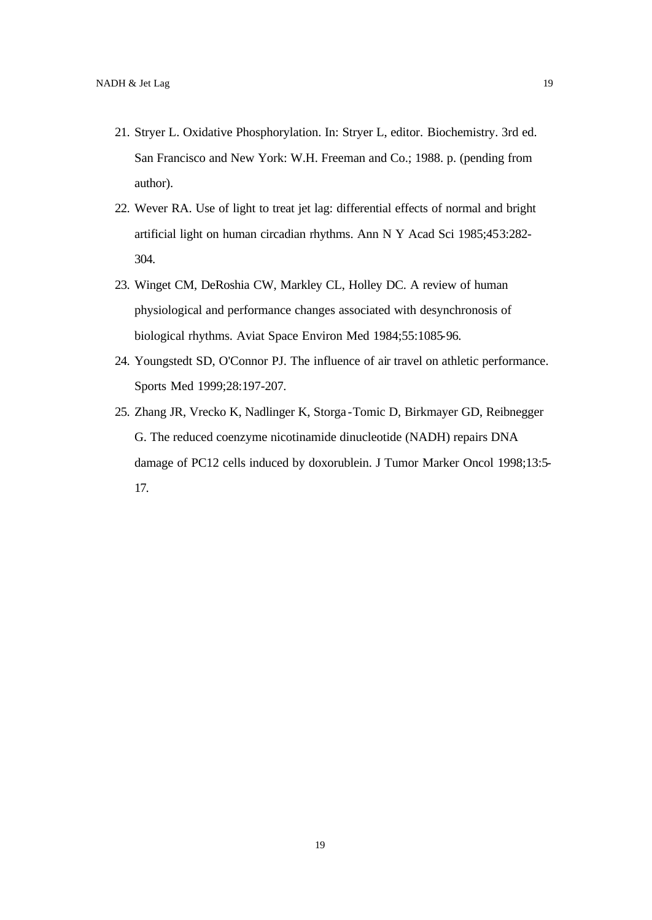- 21. Stryer L. Oxidative Phosphorylation. In: Stryer L, editor. Biochemistry. 3rd ed. San Francisco and New York: W.H. Freeman and Co.; 1988. p. (pending from author).
- 22. Wever RA. Use of light to treat jet lag: differential effects of normal and bright artificial light on human circadian rhythms. Ann N Y Acad Sci 1985;453:282- 304.
- 23. Winget CM, DeRoshia CW, Markley CL, Holley DC. A review of human physiological and performance changes associated with desynchronosis of biological rhythms. Aviat Space Environ Med 1984;55:1085-96.
- 24. Youngstedt SD, O'Connor PJ. The influence of air travel on athletic performance. Sports Med 1999;28:197-207.
- 25. Zhang JR, Vrecko K, Nadlinger K, Storga -Tomic D, Birkmayer GD, Reibnegger G. The reduced coenzyme nicotinamide dinucleotide (NADH) repairs DNA damage of PC12 cells induced by doxorublein. J Tumor Marker Oncol 1998;13:5- 17.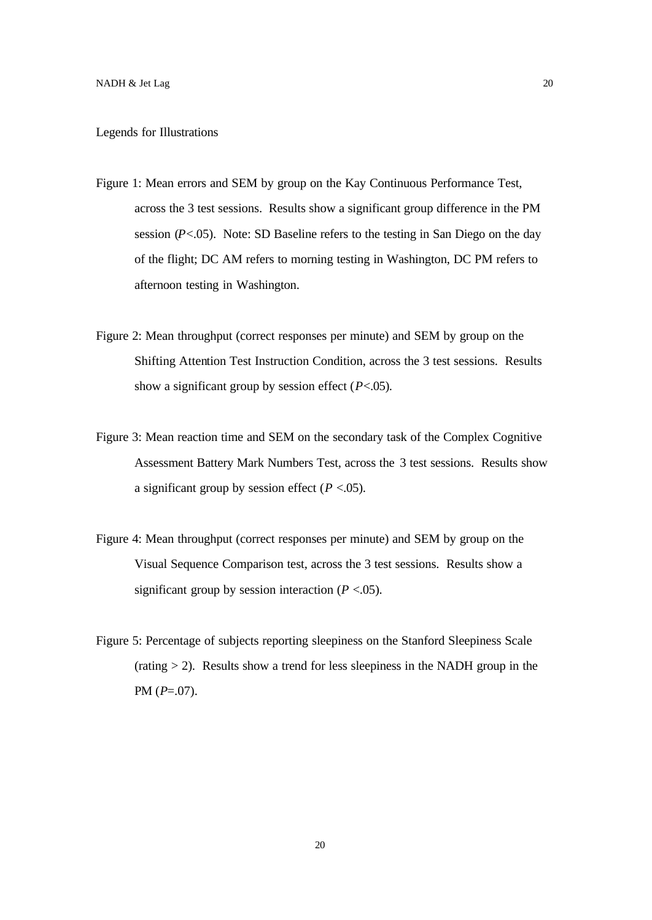#### Legends for Illustrations

- Figure 1: Mean errors and SEM by group on the Kay Continuous Performance Test, across the 3 test sessions. Results show a significant group difference in the PM session  $(P<.05)$ . Note: SD Baseline refers to the testing in San Diego on the day of the flight; DC AM refers to morning testing in Washington, DC PM refers to afternoon testing in Washington.
- Figure 2: Mean throughput (correct responses per minute) and SEM by group on the Shifting Attention Test Instruction Condition, across the 3 test sessions. Results show a significant group by session effect (*P*<.05).
- Figure 3: Mean reaction time and SEM on the secondary task of the Complex Cognitive Assessment Battery Mark Numbers Test, across the 3 test sessions. Results show a significant group by session effect  $(P < .05)$ .
- Figure 4: Mean throughput (correct responses per minute) and SEM by group on the Visual Sequence Comparison test, across the 3 test sessions. Results show a significant group by session interaction  $(P < .05)$ .
- Figure 5: Percentage of subjects reporting sleepiness on the Stanford Sleepiness Scale  $(rating > 2)$ . Results show a trend for less sleepiness in the NADH group in the PM (*P*=.07).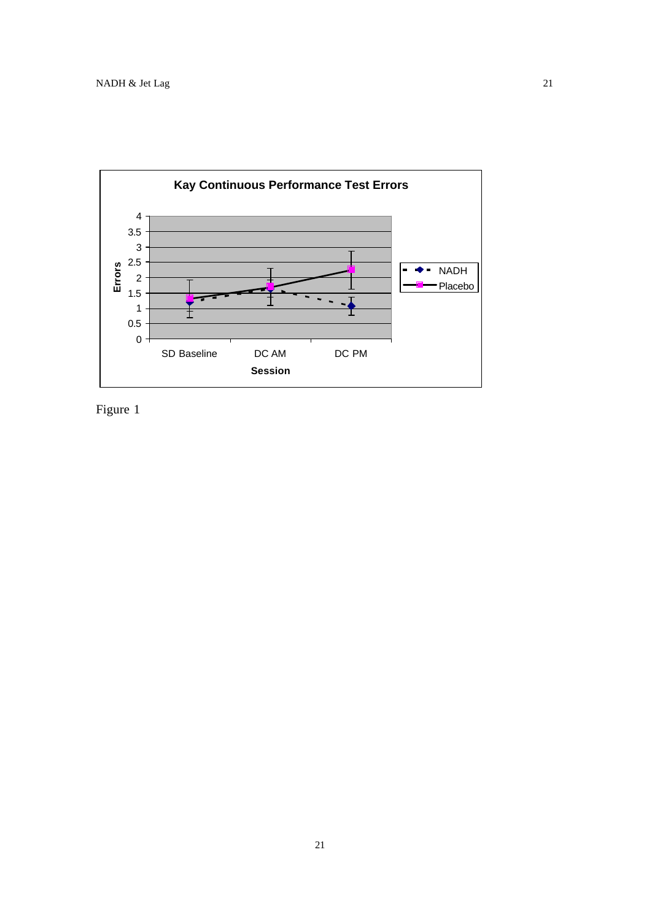

Figure 1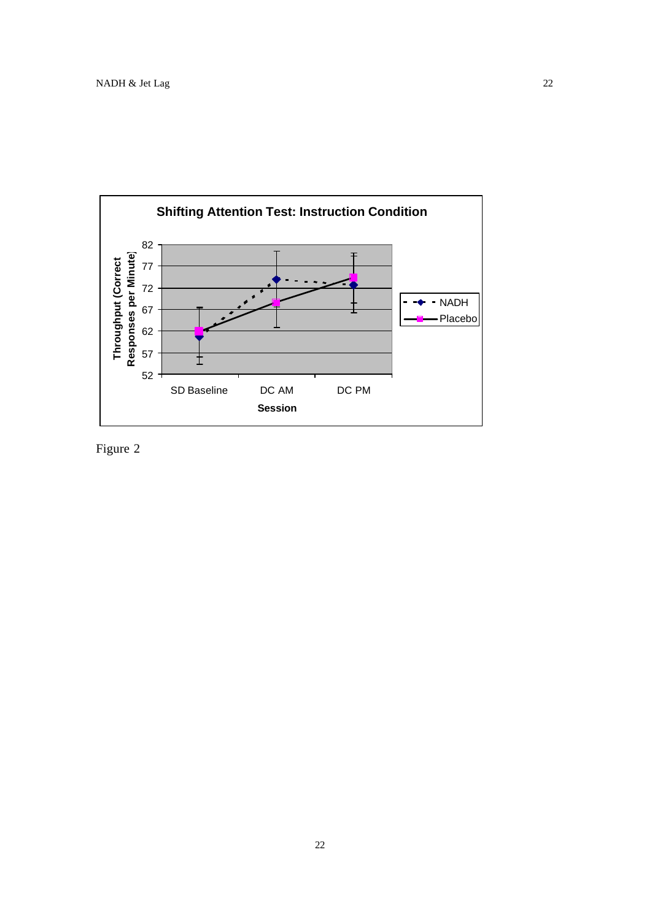

Figure 2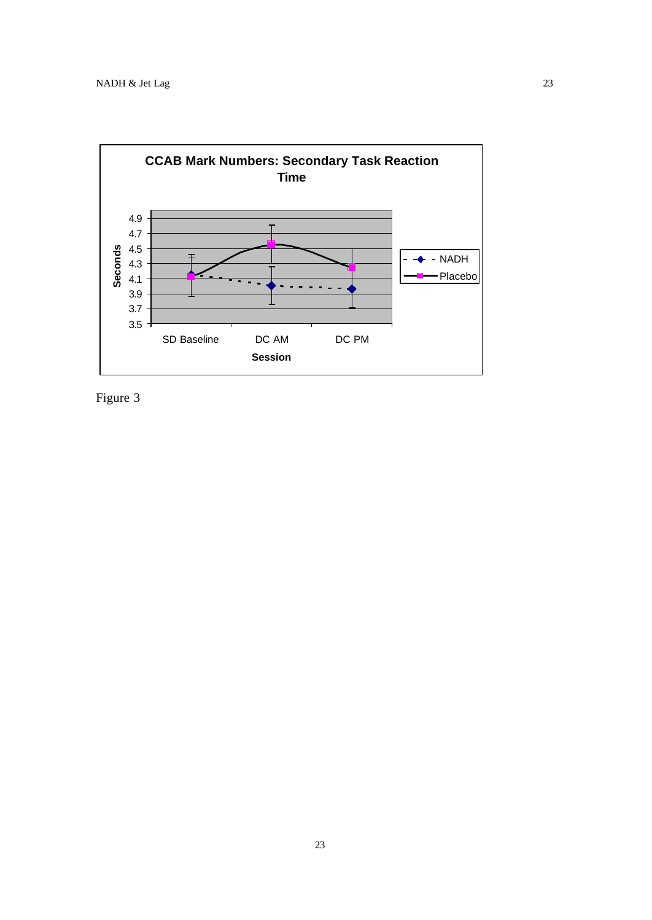

Figure 3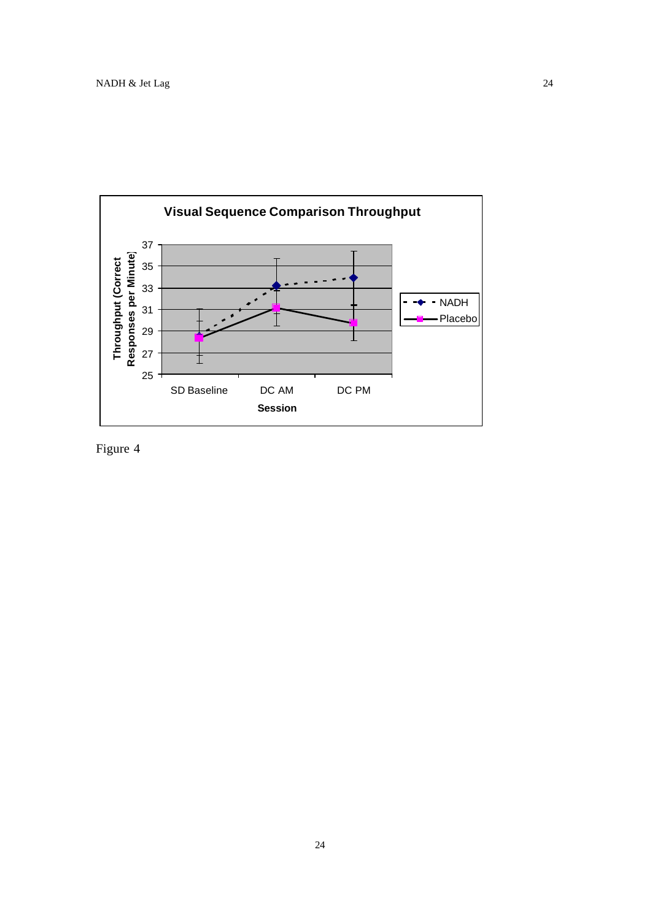

Figure 4